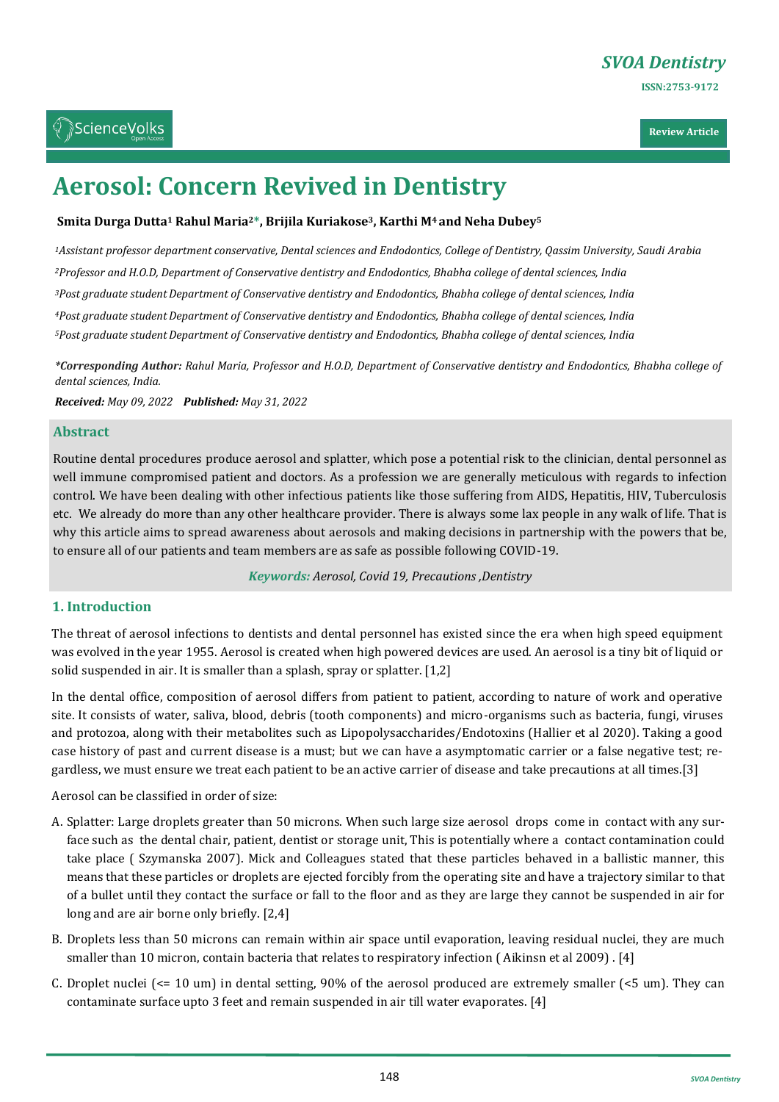**Review Article**

# **Aerosol: Concern Revived in Dentistry**

# **Smita Durga Dutta<sup>1</sup> Rahul Maria2\*, Brijila Kuriakose3, Karthi M4 and Neha Dubey<sup>5</sup>**

*Assistant professor department conservative, Dental sciences and Endodontics, College of Dentistry, Qassim University, Saudi Arabia Professor and H.O.D, Department of Conservative dentistry and Endodontics, Bhabha college of dental sciences, India Post graduate studentDepartment of Conservative dentistry and Endodontics, Bhabha college of dental sciences, India Post graduate studentDepartment of Conservative dentistry and Endodontics, Bhabha college of dental sciences, India Post graduate studentDepartment of Conservative dentistry and Endodontics, Bhabha college of dental sciences, India*

*\*Corresponding Author: Rahul Maria, Professor and H.O.D, Department of Conservative dentistry and Endodontics, Bhabha college of dental sciences, India.*

*Received: May 09, 2022 Published: May 31, 2022*

### **Abstract**

Routine dental procedures produce aerosol and splatter, which pose a potential risk to the clinician, dental personnel as well immune compromised patient and doctors. As a profession we are generally meticulous with regards to infection control. We have been dealing with other infectious patients like those suffering from AIDS, Hepatitis, HIV, Tuberculosis etc. We already do more than any other healthcare provider. There is always some lax people in any walk of life. That is why this article aims to spread awareness about aerosols and making decisions in partnership with the powers that be, to ensure all of our patients and team members are as safe as possible following COVID-19.

*Keywords: Aerosol, Covid 19, Precautions ,Dentistry*

# **1. Introduction**

The threat of aerosol infections to dentists and dental personnel has existed since the era when high speed equipment was evolved in the year 1955. Aerosol is created when high powered devices are used. An aerosol is a tiny bit of liquid or solid suspended in air. It is smaller than a splash, spray or splatter. [1,2]

In the dental office, composition of aerosol differs from patient to patient, according to nature of work and operative site. It consists of water, saliva, blood, debris (tooth components) and micro-organisms such as bacteria, fungi, viruses and protozoa, along with their metabolites such as Lipopolysaccharides/Endotoxins (Hallier et al 2020). Taking a good case history of past and current disease is a must; but we can have a asymptomatic carrier or a false negative test; regardless, we must ensure we treat each patient to be an active carrier of disease and take precautions at all times.[3]

Aerosol can be classified in order of size:

- A. Splatter: Large droplets greater than 50 microns. When such large size aerosol drops come in contact with any surface such as the dental chair, patient, dentist or storage unit, This is potentially where a contact contamination could take place ( Szymanska 2007). Mick and Colleagues stated that these particles behaved in a ballistic manner, this means that these particles or droplets are ejected forcibly from the operating site and have a trajectory similar to that of a bullet until they contact the surface or fall to the floor and as they are large they cannot be suspended in air for long and are air borne only briefly. [2,4]
- B. Droplets less than 50 microns can remain within air space until evaporation, leaving residual nuclei, they are much smaller than 10 micron, contain bacteria that relates to respiratory infection ( Aikinsn et al 2009) . [4]
- C. Droplet nuclei (<= 10 um) in dental setting, 90% of the aerosol produced are extremely smaller (<5 um). They can contaminate surface upto 3 feet and remain suspended in air till water evaporates. [4]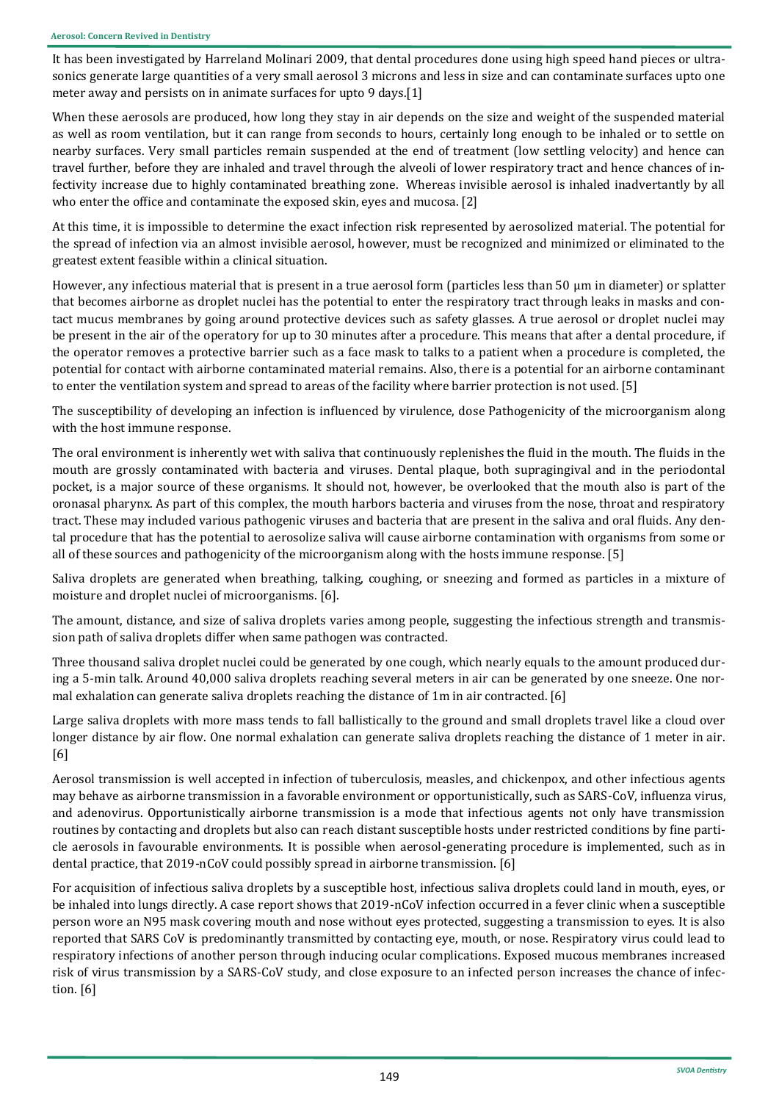It has been investigated by Harreland Molinari 2009, that dental procedures done using high speed hand pieces or ultrasonics generate large quantities of a very small aerosol 3 microns and less in size and can contaminate surfaces upto one meter away and persists on in animate surfaces for upto 9 days.[1]

When these aerosols are produced, how long they stay in air depends on the size and weight of the suspended material as well as room ventilation, but it can range from seconds to hours, certainly long enough to be inhaled or to settle on nearby surfaces. Very small particles remain suspended at the end of treatment (low settling velocity) and hence can travel further, before they are inhaled and travel through the alveoli of lower respiratory tract and hence chances of infectivity increase due to highly contaminated breathing zone. Whereas invisible aerosol is inhaled inadvertantly by all who enter the office and contaminate the exposed skin, eyes and mucosa. [2]

At this time, it is impossible to determine the exact infection risk represented by aerosolized material. The potential for the spread of infection via an almost invisible aerosol, however, must be recognized and minimized or eliminated to the greatest extent feasible within a clinical situation.

However, any infectious material that is present in a true aerosol form (particles less than 50 μm in diameter) or splatter that becomes airborne as droplet nuclei has the potential to enter the respiratory tract through leaks in masks and contact mucus membranes by going around protective devices such as safety glasses. A true aerosol or droplet nuclei may be present in the air of the operatory for up to 30 minutes after a procedure. This means that after a dental procedure, if the operator removes a protective barrier such as a face mask to talks to a patient when a procedure is completed, the potential for contact with airborne contaminated material remains. Also, there is a potential for an airborne contaminant to enter the ventilation system and spread to areas of the facility where barrier protection is not used. [5]

The susceptibility of developing an infection is influenced by virulence, dose Pathogenicity of the microorganism along with the host immune response.

The oral environment is inherently wet with saliva that continuously replenishes the fluid in the mouth. The fluids in the mouth are grossly contaminated with bacteria and viruses. Dental plaque, both supragingival and in the periodontal pocket, is a major source of these organisms. It should not, however, be overlooked that the mouth also is part of the oronasal pharynx. As part of this complex, the mouth harbors bacteria and viruses from the nose, throat and respiratory tract. These may included various pathogenic viruses and bacteria that are present in the saliva and oral fluids. Any dental procedure that has the potential to aerosolize saliva will cause airborne contamination with organisms from some or all of these sources and pathogenicity of the microorganism along with the hosts immune response. [5]

Saliva droplets are generated when breathing, talking, coughing, or sneezing and formed as particles in a mixture of moisture and droplet nuclei of microorganisms. [6].

The amount, distance, and size of saliva droplets varies among people, suggesting the infectious strength and transmission path of saliva droplets differ when same pathogen was contracted.

Three thousand saliva droplet nuclei could be generated by one cough, which nearly equals to the amount produced during a 5-min talk. Around 40,000 saliva droplets reaching several meters in air can be generated by one sneeze. One normal exhalation can generate saliva droplets reaching the distance of 1m in air contracted. [6]

Large saliva droplets with more mass tends to fall ballistically to the ground and small droplets travel like a cloud over longer distance by air flow. One normal exhalation can generate saliva droplets reaching the distance of 1 meter in air. [6]

Aerosol transmission is well accepted in infection of tuberculosis, measles, and chickenpox, and other infectious agents may behave as airborne transmission in a favorable environment or opportunistically, such as SARS-CoV, influenza virus, and adenovirus. Opportunistically airborne transmission is a mode that infectious agents not only have transmission routines by contacting and droplets but also can reach distant susceptible hosts under restricted conditions by fine particle aerosols in favourable environments. It is possible when aerosol-generating procedure is implemented, such as in dental practice, that 2019-nCoV could possibly spread in airborne transmission. [6]

For acquisition of infectious saliva droplets by a susceptible host, infectious saliva droplets could land in mouth, eyes, or be inhaled into lungs directly. A case report shows that 2019-nCoV infection occurred in a fever clinic when a susceptible person wore an N95 mask covering mouth and nose without eyes protected, suggesting a transmission to eyes. It is also reported that SARS CoV is predominantly transmitted by contacting eye, mouth, or nose. Respiratory virus could lead to respiratory infections of another person through inducing ocular complications. Exposed mucous membranes increased risk of virus transmission by a SARS-CoV study, and close exposure to an infected person increases the chance of infection. [6]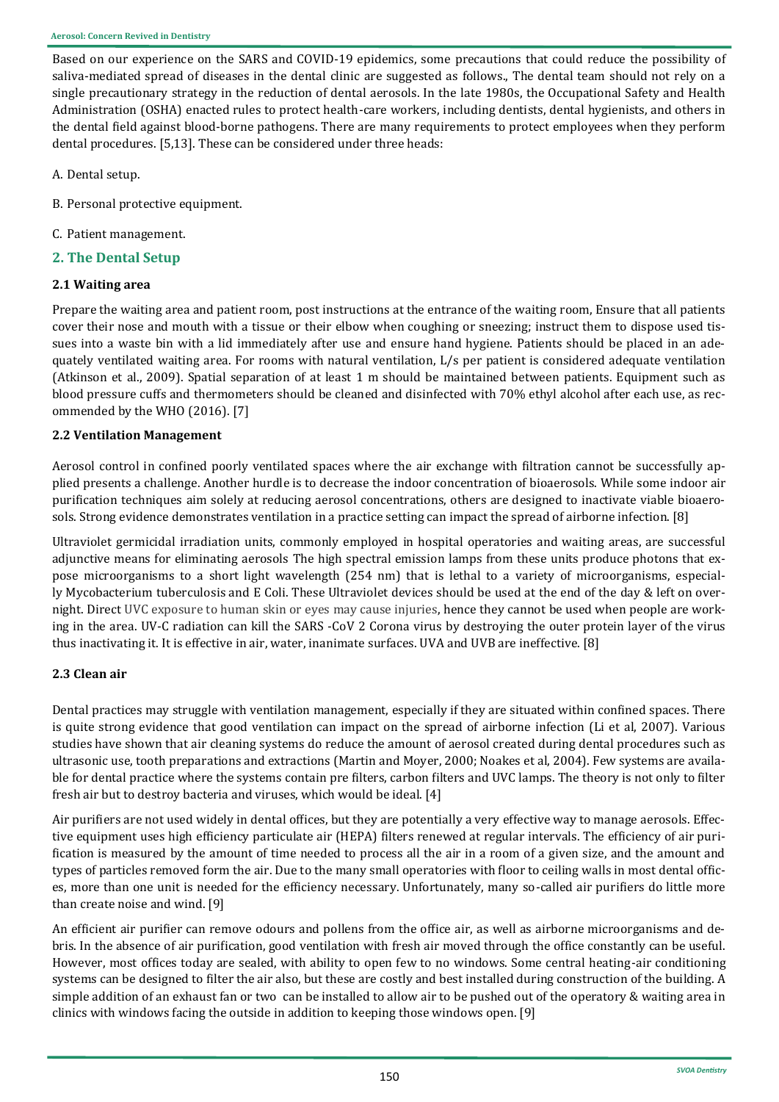Based on our experience on the SARS and COVID-19 epidemics, some precautions that could reduce the possibility of saliva-mediated spread of diseases in the dental clinic are suggested as follows., The dental team should not rely on a single precautionary strategy in the reduction of dental aerosols. In the late 1980s, the Occupational Safety and Health Administration (OSHA) enacted rules to protect health-care workers, including dentists, dental hygienists, and others in the dental field against blood-borne pathogens. There are many requirements to protect employees when they perform dental procedures. [5,13]. These can be considered under three heads:

- A. Dental setup.
- B. Personal protective equipment.
- C. Patient management.
- **2. The Dental Setup**

# **2.1 Waiting area**

Prepare the waiting area and patient room, post instructions at the entrance of the waiting room, Ensure that all patients cover their nose and mouth with a tissue or their elbow when coughing or sneezing; instruct them to dispose used tissues into a waste bin with a lid immediately after use and ensure hand hygiene. Patients should be placed in an adequately ventilated waiting area. For rooms with natural ventilation, L/s per patient is considered adequate ventilation (Atkinson et al., 2009). Spatial separation of at least 1 m should be maintained between patients. Equipment such as blood pressure cuffs and thermometers should be cleaned and disinfected with 70% ethyl alcohol after each use, as recommended by the WHO (2016). [7]

# **2.2 Ventilation Management**

Aerosol control in confined poorly ventilated spaces where the air exchange with filtration cannot be successfully applied presents a challenge. Another hurdle is to decrease the indoor concentration of bioaerosols. While some indoor air purification techniques aim solely at reducing aerosol concentrations, others are designed to inactivate viable bioaerosols. Strong evidence demonstrates ventilation in a practice setting can impact the spread of airborne infection. [8]

Ultraviolet germicidal irradiation units, commonly employed in hospital operatories and waiting areas, are successful adjunctive means for eliminating aerosols The high spectral emission lamps from these units produce photons that expose microorganisms to a short light wavelength (254 nm) that is lethal to a variety of microorganisms, especially Mycobacterium tuberculosis and E Coli. These Ultraviolet devices should be used at the end of the day & left on overnight. Direct UVC exposure to human skin or eyes may cause injuries, hence they cannot be used when people are working in the area. UV-C radiation can kill the SARS -CoV 2 Corona virus by destroying the outer protein layer of the virus thus inactivating it. It is effective in air, water, inanimate surfaces. UVA and UVB are ineffective. [8]

# **2.3 Clean air**

Dental practices may struggle with ventilation management, especially if they are situated within confined spaces. There is quite strong evidence that good ventilation can impact on the spread of airborne infection (Li et al, 2007). Various studies have shown that air cleaning systems do reduce the amount of aerosol created during dental procedures such as ultrasonic use, tooth preparations and extractions (Martin and Moyer, 2000; Noakes et al, 2004). Few systems are available for dental practice where the systems contain pre filters, carbon filters and UVC lamps. The theory is not only to filter fresh air but to destroy bacteria and viruses, which would be ideal. [4]

Air purifiers are not used widely in dental offices, but they are potentially a very effective way to manage aerosols. Effective equipment uses high efficiency particulate air (HEPA) filters renewed at regular intervals. The efficiency of air purification is measured by the amount of time needed to process all the air in a room of a given size, and the amount and types of particles removed form the air. Due to the many small operatories with floor to ceiling walls in most dental offices, more than one unit is needed for the efficiency necessary. Unfortunately, many so-called air purifiers do little more than create noise and wind. [9]

An efficient air purifier can remove odours and pollens from the office air, as well as airborne microorganisms and debris. In the absence of air purification, good ventilation with fresh air moved through the office constantly can be useful. However, most offices today are sealed, with ability to open few to no windows. Some central heating-air conditioning systems can be designed to filter the air also, but these are costly and best installed during construction of the building. A simple addition of an exhaust fan or two can be installed to allow air to be pushed out of the operatory & waiting area in clinics with windows facing the outside in addition to keeping those windows open. [9]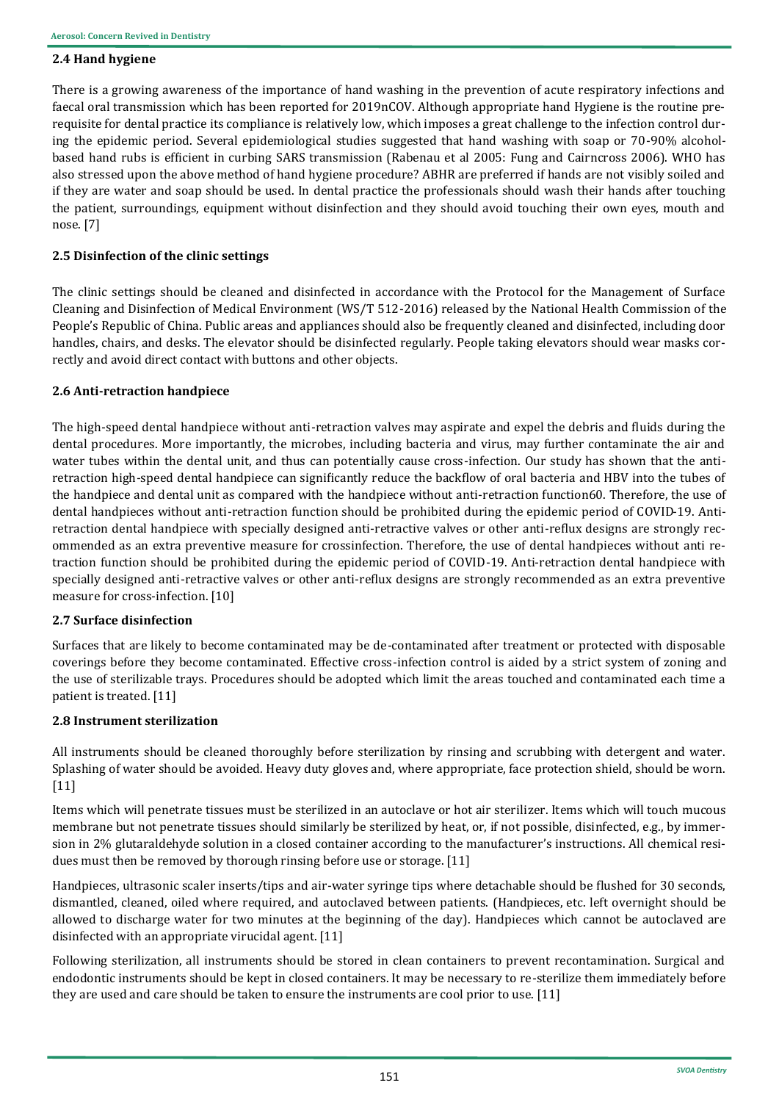# **2.4 Hand hygiene**

There is a growing awareness of the importance of hand washing in the prevention of acute respiratory infections and faecal oral transmission which has been reported for 2019nCOV. Although appropriate hand Hygiene is the routine prerequisite for dental practice its compliance is relatively low, which imposes a great challenge to the infection control during the epidemic period. Several epidemiological studies suggested that hand washing with soap or 70-90% alcoholbased hand rubs is efficient in curbing SARS transmission (Rabenau et al 2005: Fung and Cairncross 2006). WHO has also stressed upon the above method of hand hygiene procedure? ABHR are preferred if hands are not visibly soiled and if they are water and soap should be used. In dental practice the professionals should wash their hands after touching the patient, surroundings, equipment without disinfection and they should avoid touching their own eyes, mouth and nose. [7]

# **2.5 Disinfection of the clinic settings**

The clinic settings should be cleaned and disinfected in accordance with the Protocol for the Management of Surface Cleaning and Disinfection of Medical Environment (WS/T 512-2016) released by the National Health Commission of the People's Republic of China. Public areas and appliances should also be frequently cleaned and disinfected, including door handles, chairs, and desks. The elevator should be disinfected regularly. People taking elevators should wear masks correctly and avoid direct contact with buttons and other objects.

# **2.6 Anti-retraction handpiece**

The high-speed dental handpiece without anti-retraction valves may aspirate and expel the debris and fluids during the dental procedures. More importantly, the microbes, including bacteria and virus, may further contaminate the air and water tubes within the dental unit, and thus can potentially cause cross-infection. Our study has shown that the antiretraction high-speed dental handpiece can significantly reduce the backflow of oral bacteria and HBV into the tubes of the handpiece and dental unit as compared with the handpiece without anti-retraction function60. Therefore, the use of dental handpieces without anti-retraction function should be prohibited during the epidemic period of COVID-19. Antiretraction dental handpiece with specially designed anti-retractive valves or other anti-reflux designs are strongly recommended as an extra preventive measure for crossinfection. Therefore, the use of dental handpieces without anti retraction function should be prohibited during the epidemic period of COVID-19. Anti-retraction dental handpiece with specially designed anti-retractive valves or other anti-reflux designs are strongly recommended as an extra preventive measure for cross-infection. [10]

# **2.7 Surface disinfection**

Surfaces that are likely to become contaminated may be de-contaminated after treatment or protected with disposable coverings before they become contaminated. Effective cross-infection control is aided by a strict system of zoning and the use of sterilizable trays. Procedures should be adopted which limit the areas touched and contaminated each time a patient is treated. [11]

# **2.8 Instrument sterilization**

All instruments should be cleaned thoroughly before sterilization by rinsing and scrubbing with detergent and water. Splashing of water should be avoided. Heavy duty gloves and, where appropriate, face protection shield, should be worn. [11]

Items which will penetrate tissues must be sterilized in an autoclave or hot air sterilizer. Items which will touch mucous membrane but not penetrate tissues should similarly be sterilized by heat, or, if not possible, disinfected, e.g., by immersion in 2% glutaraldehyde solution in a closed container according to the manufacturer's instructions. All chemical residues must then be removed by thorough rinsing before use or storage. [11]

Handpieces, ultrasonic scaler inserts/tips and air-water syringe tips where detachable should be flushed for 30 seconds, dismantled, cleaned, oiled where required, and autoclaved between patients. (Handpieces, etc. left overnight should be allowed to discharge water for two minutes at the beginning of the day). Handpieces which cannot be autoclaved are disinfected with an appropriate virucidal agent. [11]

Following sterilization, all instruments should be stored in clean containers to prevent recontamination. Surgical and endodontic instruments should be kept in closed containers. It may be necessary to re-sterilize them immediately before they are used and care should be taken to ensure the instruments are cool prior to use. [11]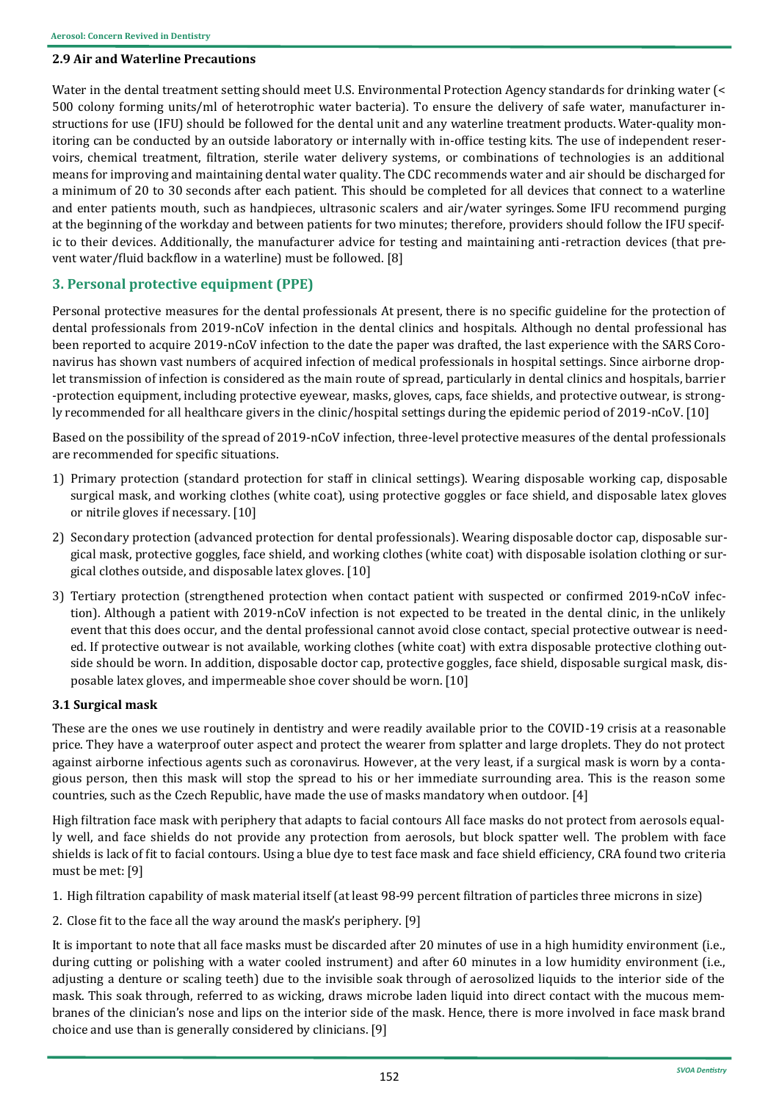#### **2.9 Air and Waterline Precautions**

Water in the dental treatment setting should meet U.S. Environmental Protection Agency standards for drinking water (< 500 colony forming units/ml of heterotrophic water bacteria). To ensure the delivery of safe water, manufacturer instructions for use (IFU) should be followed for the dental unit and any waterline treatment products. Water-quality monitoring can be conducted by an outside laboratory or internally with in-office testing kits. The use of independent reservoirs, chemical treatment, filtration, sterile water delivery systems, or combinations of technologies is an additional means for improving and maintaining dental water quality. The CDC recommends water and air should be discharged for a minimum of 20 to 30 seconds after each patient. This should be completed for all devices that connect to a waterline and enter patients mouth, such as handpieces, ultrasonic scalers and air/water syringes. Some IFU recommend purging at the beginning of the workday and between patients for two minutes; therefore, providers should follow the IFU specific to their devices. Additionally, the manufacturer advice for testing and maintaining anti-retraction devices (that prevent water/fluid backflow in a waterline) must be followed. [8]

# **3. Personal protective equipment (PPE)**

Personal protective measures for the dental professionals At present, there is no specific guideline for the protection of dental professionals from 2019-nCoV infection in the dental clinics and hospitals. Although no dental professional has been reported to acquire 2019-nCoV infection to the date the paper was drafted, the last experience with the SARS Coronavirus has shown vast numbers of acquired infection of medical professionals in hospital settings. Since airborne droplet transmission of infection is considered as the main route of spread, particularly in dental clinics and hospitals, barrier -protection equipment, including protective eyewear, masks, gloves, caps, face shields, and protective outwear, is strongly recommended for all healthcare givers in the clinic/hospital settings during the epidemic period of 2019-nCoV. [10]

Based on the possibility of the spread of 2019-nCoV infection, three-level protective measures of the dental professionals are recommended for specific situations.

- 1) Primary protection (standard protection for staff in clinical settings). Wearing disposable working cap, disposable surgical mask, and working clothes (white coat), using protective goggles or face shield, and disposable latex gloves or nitrile gloves if necessary. [10]
- 2) Secondary protection (advanced protection for dental professionals). Wearing disposable doctor cap, disposable surgical mask, protective goggles, face shield, and working clothes (white coat) with disposable isolation clothing or surgical clothes outside, and disposable latex gloves. [10]
- 3) Tertiary protection (strengthened protection when contact patient with suspected or confirmed 2019-nCoV infection). Although a patient with 2019-nCoV infection is not expected to be treated in the dental clinic, in the unlikely event that this does occur, and the dental professional cannot avoid close contact, special protective outwear is needed. If protective outwear is not available, working clothes (white coat) with extra disposable protective clothing outside should be worn. In addition, disposable doctor cap, protective goggles, face shield, disposable surgical mask, disposable latex gloves, and impermeable shoe cover should be worn. [10]

#### **3.1 Surgical mask**

These are the ones we use routinely in dentistry and were readily available prior to the COVID-19 crisis at a reasonable price. They have a waterproof outer aspect and protect the wearer from splatter and large droplets. They do not protect against airborne infectious agents such as coronavirus. However, at the very least, if a surgical mask is worn by a contagious person, then this mask will stop the spread to his or her immediate surrounding area. This is the reason some countries, such as the Czech Republic, have made the use of masks mandatory when outdoor. [4]

High filtration face mask with periphery that adapts to facial contours All face masks do not protect from aerosols equally well, and face shields do not provide any protection from aerosols, but block spatter well. The problem with face shields is lack of fit to facial contours. Using a blue dye to test face mask and face shield efficiency, CRA found two criteria must be met: [9]

1. High filtration capability of mask material itself (at least 98-99 percent filtration of particles three microns in size)

2. Close fit to the face all the way around the mask's periphery. [9]

It is important to note that all face masks must be discarded after 20 minutes of use in a high humidity environment (i.e., during cutting or polishing with a water cooled instrument) and after 60 minutes in a low humidity environment (i.e., adjusting a denture or scaling teeth) due to the invisible soak through of aerosolized liquids to the interior side of the mask. This soak through, referred to as wicking, draws microbe laden liquid into direct contact with the mucous membranes of the clinician's nose and lips on the interior side of the mask. Hence, there is more involved in face mask brand choice and use than is generally considered by clinicians. [9]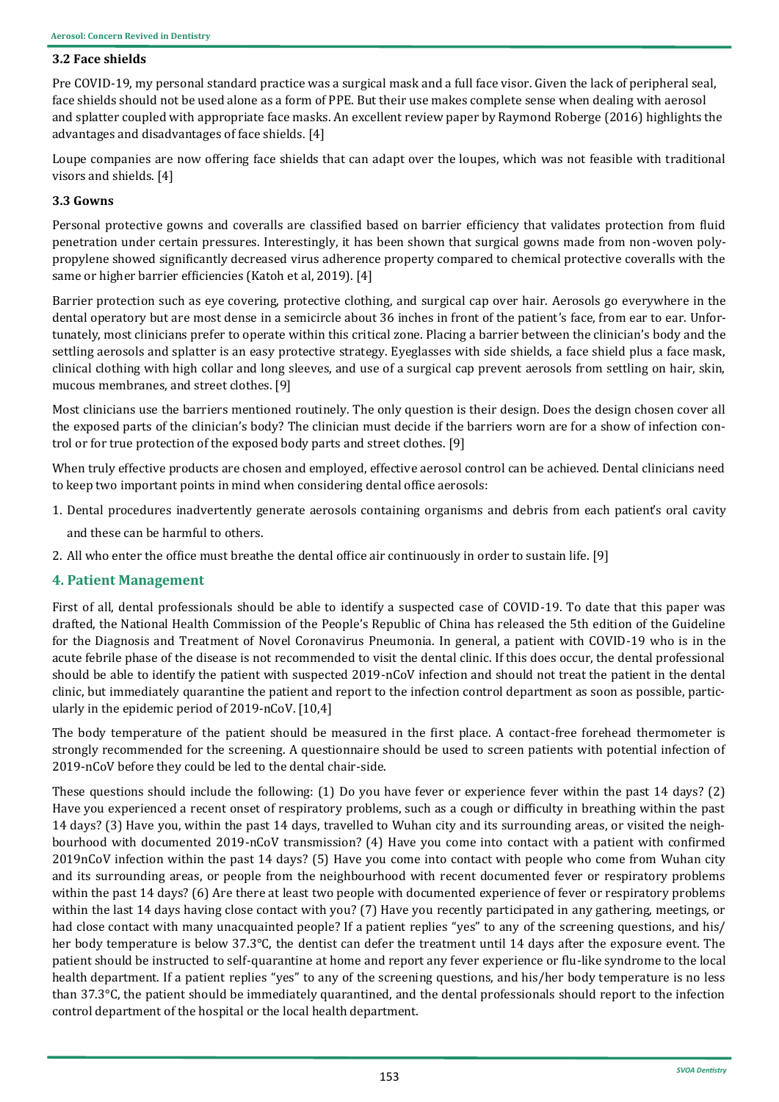### **3.2 Face shields**

Pre COVID-19, my personal standard practice was a surgical mask and a full face visor. Given the lack of peripheral seal, face shields should not be used alone as a form of PPE. But their use makes complete sense when dealing with aerosol and splatter coupled with appropriate face masks. An excellent review paper by Raymond Roberge (2016) highlights the advantages and disadvantages of face shields. [4]

Loupe companies are now offering face shields that can adapt over the loupes, which was not feasible with traditional visors and shields. [4]

### **3.3 Gowns**

Personal protective gowns and coveralls are classified based on barrier efficiency that validates protection from fluid penetration under certain pressures. Interestingly, it has been shown that surgical gowns made from non-woven polypropylene showed significantly decreased virus adherence property compared to chemical protective coveralls with the same or higher barrier efficiencies (Katoh et al, 2019). [4]

Barrier protection such as eye covering, protective clothing, and surgical cap over hair. Aerosols go everywhere in the dental operatory but are most dense in a semicircle about 36 inches in front of the patient's face, from ear to ear. Unfortunately, most clinicians prefer to operate within this critical zone. Placing a barrier between the clinician's body and the settling aerosols and splatter is an easy protective strategy. Eyeglasses with side shields, a face shield plus a face mask, clinical clothing with high collar and long sleeves, and use of a surgical cap prevent aerosols from settling on hair, skin, mucous membranes, and street clothes. [9]

Most clinicians use the barriers mentioned routinely. The only question is their design. Does the design chosen cover all the exposed parts of the clinician's body? The clinician must decide if the barriers worn are for a show of infection control or for true protection of the exposed body parts and street clothes. [9]

When truly effective products are chosen and employed, effective aerosol control can be achieved. Dental clinicians need to keep two important points in mind when considering dental office aerosols:

1. Dental procedures inadvertently generate aerosols containing organisms and debris from each patient's oral cavity

and these can be harmful to others.

2. All who enter the office must breathe the dental office air continuously in order to sustain life. [9]

# **4. Patient Management**

First of all, dental professionals should be able to identify a suspected case of COVID-19. To date that this paper was drafted, the National Health Commission of the People's Republic of China has released the 5th edition of the Guideline for the Diagnosis and Treatment of Novel Coronavirus Pneumonia. In general, a patient with COVID-19 who is in the acute febrile phase of the disease is not recommended to visit the dental clinic. If this does occur, the dental professional should be able to identify the patient with suspected 2019-nCoV infection and should not treat the patient in the dental clinic, but immediately quarantine the patient and report to the infection control department as soon as possible, particularly in the epidemic period of 2019-nCoV. [10,4]

The body temperature of the patient should be measured in the first place. A contact-free forehead thermometer is strongly recommended for the screening. A questionnaire should be used to screen patients with potential infection of 2019-nCoV before they could be led to the dental chair-side.

These questions should include the following: (1) Do you have fever or experience fever within the past 14 days? (2) Have you experienced a recent onset of respiratory problems, such as a cough or difficulty in breathing within the past 14 days? (3) Have you, within the past 14 days, travelled to Wuhan city and its surrounding areas, or visited the neighbourhood with documented 2019-nCoV transmission? (4) Have you come into contact with a patient with confirmed 2019nCoV infection within the past 14 days? (5) Have you come into contact with people who come from Wuhan city and its surrounding areas, or people from the neighbourhood with recent documented fever or respiratory problems within the past 14 days? (6) Are there at least two people with documented experience of fever or respiratory problems within the last 14 days having close contact with you? (7) Have you recently participated in any gathering, meetings, or had close contact with many unacquainted people? If a patient replies "yes" to any of the screening questions, and his/ her body temperature is below 37.3°C, the dentist can defer the treatment until 14 days after the exposure event. The patient should be instructed to self-quarantine at home and report any fever experience or flu-like syndrome to the local health department. If a patient replies "yes" to any of the screening questions, and his/her body temperature is no less than 37.3°C, the patient should be immediately quarantined, and the dental professionals should report to the infection control department of the hospital or the local health department.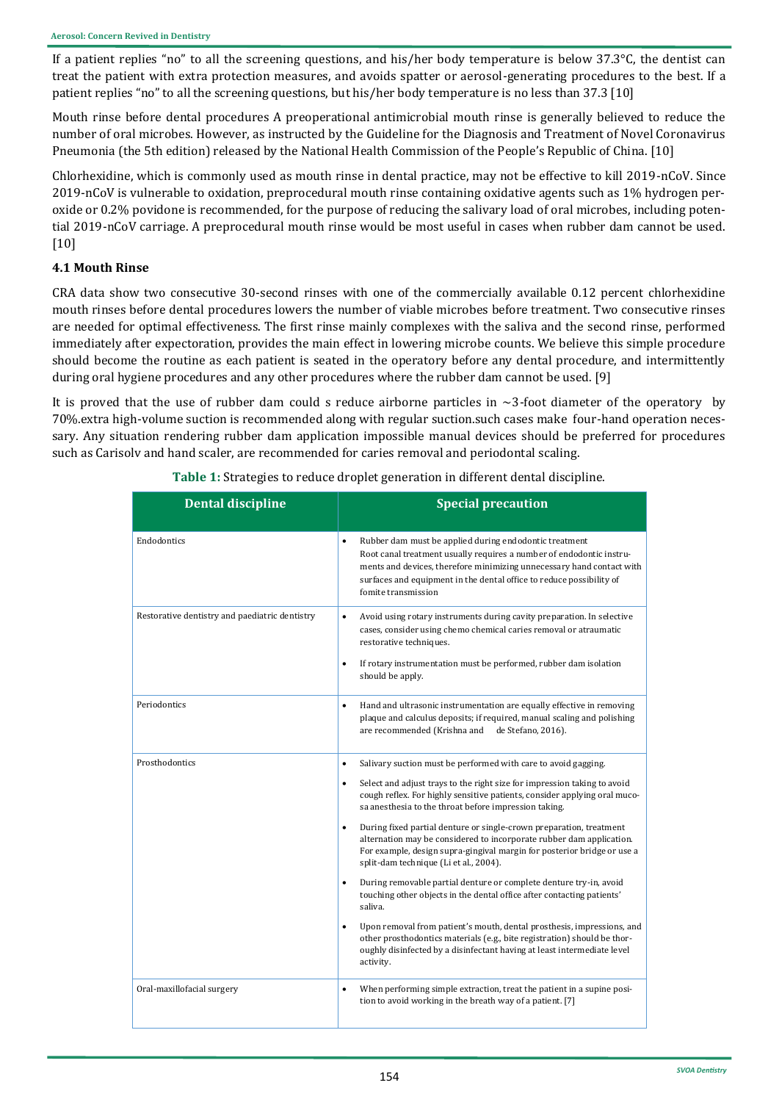If a patient replies "no" to all the screening questions, and his/her body temperature is below 37.3°C, the dentist can treat the patient with extra protection measures, and avoids spatter or aerosol-generating procedures to the best. If a patient replies "no" to all the screening questions, but his/her body temperature is no less than 37.3 [10]

Mouth rinse before dental procedures A preoperational antimicrobial mouth rinse is generally believed to reduce the number of oral microbes. However, as instructed by the Guideline for the Diagnosis and Treatment of Novel Coronavirus Pneumonia (the 5th edition) released by the National Health Commission of the People's Republic of China. [10]

Chlorhexidine, which is commonly used as mouth rinse in dental practice, may not be effective to kill 2019-nCoV. Since 2019-nCoV is vulnerable to oxidation, preprocedural mouth rinse containing oxidative agents such as 1% hydrogen peroxide or 0.2% povidone is recommended, for the purpose of reducing the salivary load of oral microbes, including potential 2019-nCoV carriage. A preprocedural mouth rinse would be most useful in cases when rubber dam cannot be used. [10]

# **4.1 Mouth Rinse**

CRA data show two consecutive 30-second rinses with one of the commercially available 0.12 percent chlorhexidine mouth rinses before dental procedures lowers the number of viable microbes before treatment. Two consecutive rinses are needed for optimal effectiveness. The first rinse mainly complexes with the saliva and the second rinse, performed immediately after expectoration, provides the main effect in lowering microbe counts. We believe this simple procedure should become the routine as each patient is seated in the operatory before any dental procedure, and intermittently during oral hygiene procedures and any other procedures where the rubber dam cannot be used. [9]

It is proved that the use of rubber dam could s reduce airborne particles in  $\sim$ 3-foot diameter of the operatory by 70%.extra high-volume suction is recommended along with regular suction.such cases make four-hand operation necessary. Any situation rendering rubber dam application impossible manual devices should be preferred for procedures such as Carisolv and hand scaler, are recommended for caries removal and periodontal scaling.

| <b>Dental discipline</b>                       | <b>Special precaution</b>                                                                                                                                                                                                                                                                                           |
|------------------------------------------------|---------------------------------------------------------------------------------------------------------------------------------------------------------------------------------------------------------------------------------------------------------------------------------------------------------------------|
| Endodontics                                    | Rubber dam must be applied during endodontic treatment<br>$\bullet$<br>Root canal treatment usually requires a number of endodontic instru-<br>ments and devices, therefore minimizing unnecessary hand contact with<br>surfaces and equipment in the dental office to reduce possibility of<br>fomite transmission |
| Restorative dentistry and paediatric dentistry | $\bullet$<br>Avoid using rotary instruments during cavity preparation. In selective<br>cases, consider using chemo chemical caries removal or atraumatic<br>restorative techniques.                                                                                                                                 |
|                                                | If rotary instrumentation must be performed, rubber dam isolation<br>$\bullet$<br>should be apply.                                                                                                                                                                                                                  |
| Periodontics                                   | Hand and ultrasonic instrumentation are equally effective in removing<br>$\bullet$<br>plaque and calculus deposits; if required, manual scaling and polishing<br>are recommended (Krishna and<br>de Stefano, 2016).                                                                                                 |
| Prosthodontics                                 | Salivary suction must be performed with care to avoid gagging.<br>$\bullet$                                                                                                                                                                                                                                         |
|                                                | Select and adjust trays to the right size for impression taking to avoid<br>$\bullet$<br>cough reflex. For highly sensitive patients, consider applying oral muco-<br>sa anesthesia to the throat before impression taking.                                                                                         |
|                                                | During fixed partial denture or single-crown preparation, treatment<br>alternation may be considered to incorporate rubber dam application.<br>For example, design supra-gingival margin for posterior bridge or use a<br>split-dam technique (Li et al., 2004).                                                    |
|                                                | During removable partial denture or complete denture try-in, avoid<br>touching other objects in the dental office after contacting patients'<br>saliva.                                                                                                                                                             |
|                                                | Upon removal from patient's mouth, dental prosthesis, impressions, and<br>$\bullet$<br>other prosthodontics materials (e.g., bite registration) should be thor-<br>oughly disinfected by a disinfectant having at least intermediate level<br>activity.                                                             |
| Oral-maxillofacial surgery                     | When performing simple extraction, treat the patient in a supine posi-<br>$\bullet$<br>tion to avoid working in the breath way of a patient. [7]                                                                                                                                                                    |

**Table 1:** Strategies to reduce droplet generation in different dental discipline.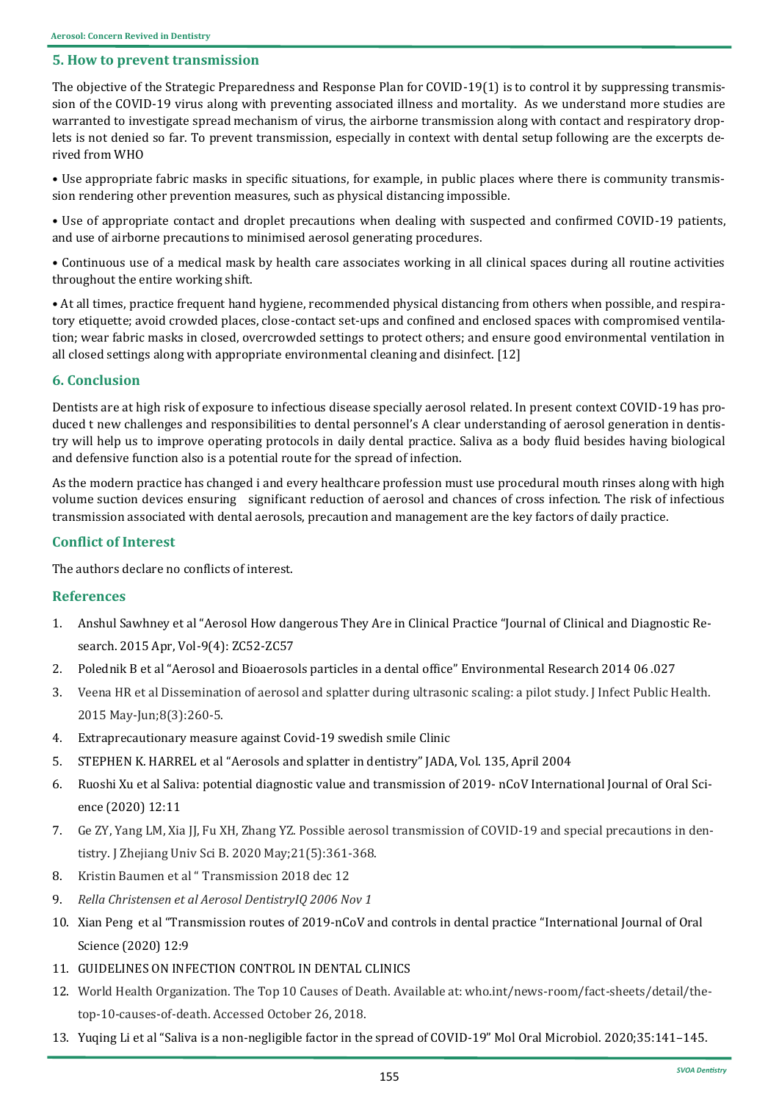# **5. How to prevent transmission**

The objective of the Strategic Preparedness and Response Plan for COVID-19(1) is to control it by suppressing transmission of the COVID-19 virus along with preventing associated illness and mortality. As we understand more studies are warranted to investigate spread mechanism of virus, the airborne transmission along with contact and respiratory droplets is not denied so far. To prevent transmission, especially in context with dental setup following are the excerpts derived from WHO

• Use appropriate fabric masks in specific situations, for example, in public places where there is community transmission rendering other prevention measures, such as physical distancing impossible.

• Use of appropriate contact and droplet precautions when dealing with suspected and confirmed COVID-19 patients, and use of airborne precautions to minimised aerosol generating procedures.

• Continuous use of a medical mask by health care associates working in all clinical spaces during all routine activities throughout the entire working shift.

• At all times, practice frequent hand hygiene, recommended physical distancing from others when possible, and respiratory etiquette; avoid crowded places, close-contact set-ups and confined and enclosed spaces with compromised ventilation; wear fabric masks in closed, overcrowded settings to protect others; and ensure good environmental ventilation in all closed settings along with appropriate environmental cleaning and disinfect. [12]

# **6. Conclusion**

Dentists are at high risk of exposure to infectious disease specially aerosol related. In present context COVID-19 has produced t new challenges and responsibilities to dental personnel's A clear understanding of aerosol generation in dentistry will help us to improve operating protocols in daily dental practice. Saliva as a body fluid besides having biological and defensive function also is a potential route for the spread of infection.

As the modern practice has changed i and every healthcare profession must use procedural mouth rinses along with high volume suction devices ensuring significant reduction of aerosol and chances of cross infection. The risk of infectious transmission associated with dental aerosols, precaution and management are the key factors of daily practice.

# **Conflict of Interest**

The authors declare no conflicts of interest.

# **References**

- 1. Anshul Sawhney et al "Aerosol How dangerous They Are in Clinical Practice "Journal of Clinical and Diagnostic Research. 2015 Apr, Vol-9(4): ZC52-ZC57
- 2. Polednik B et al "Aerosol and Bioaerosols particles in a dental office" Environmental Research 2014 06 .027
- 3. Veena HR et al Dissemination of aerosol and splatter during ultrasonic scaling: a pilot study. J Infect Public Health. 2015 May-Jun;8(3):260-5.
- 4. Extraprecautionary measure against Covid-19 swedish smile Clinic
- 5. STEPHEN K. HARREL et al "Aerosols and splatter in dentistry" JADA, Vol. 135, April 2004
- 6. Ruoshi Xu et al Saliva: potential diagnostic value and transmission of 2019- nCoV International Journal of Oral Science (2020) 12:11
- 7. Ge ZY, Yang LM, Xia JJ, Fu XH, Zhang YZ. Possible aerosol transmission of COVID-19 and special precautions in dentistry. J Zhejiang Univ Sci B. 2020 May;21(5):361-368.
- 8. Kristin Baumen et al " Transmission 2018 dec 12
- 9. *Rella Christensen et al Aerosol DentistryIQ 2006 Nov 1*
- 10. Xian Peng et al "Transmission routes of 2019-nCoV and controls in dental practice "International Journal of Oral Science (2020) 12:9
- 11. GUIDELINES ON INFECTION CONTROL IN DENTAL CLINICS
- 12. World Health Organization. The Top 10 Causes of Death. Available at: who.int/news-room/fact-sheets/detail/thetop-10-causes-of-death. Accessed October 26, 2018.
- 13. Yuqing Li et al "Saliva is a non-negligible factor in the spread of COVID-19" Mol Oral Microbiol. 2020;35:141–145.